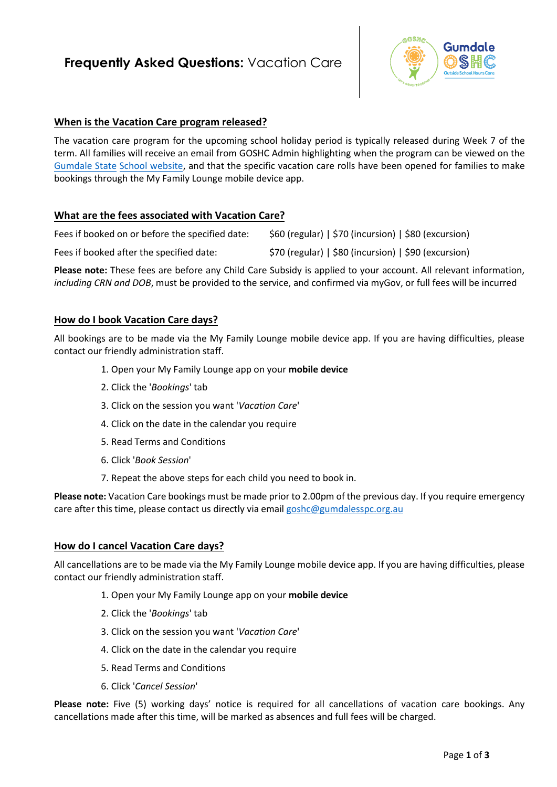# **Frequently Asked Questions: Vacation Care**



#### **When is the Vacation Care program released?**

The vacation care program for the upcoming school holiday period is typically released during Week 7 of the term. All families will receive an email from GOSHC Admin highlighting when the program can b[e viewed on the](https://gumdaless.eq.edu.au/facilities/out-of-school-hours-care)  [Gumdale State](https://gumdaless.eq.edu.au/facilities/out-of-school-hours-care) School website, and that the specific vacation care rolls have been opened for families to make bookings through the My Family Lounge mobile device app.

#### **What are the fees associated with Vacation Care?**

| Fees if booked on or before the specified date: | $$60 (regular)   $70 (incursion)   $80 (excursion)$  |
|-------------------------------------------------|------------------------------------------------------|
| Fees if booked after the specified date:        | \$70 (regular)   \$80 (incursion)   \$90 (excursion) |

**Please note:** These fees are before any Child Care Subsidy is applied to your account. All relevant information, *including CRN and DOB*, must be provided to the service, and confirmed via myGov, or full fees will be incurred

#### **How do I book Vacation Care days?**

All bookings are to be made via the My Family Lounge mobile device app. If you are having difficulties, please contact our friendly administration staff.

- 1. Open your My Family Lounge app on your **mobile device**
- 2. Click the '*Bookings*' tab
- 3. Click on the session you want '*Vacation Care*'
- 4. Click on the date in the calendar you require
- 5. Read Terms and Conditions
- 6. Click '*Book Session*'
- 7. Repeat the above steps for each child you need to book in.

**Please note:** Vacation Care bookings must be made prior to 2.00pm of the previous day. If you require emergency care after this time, please contact us directly via email [goshc@gumdalesspc.org.au](mailto:goshc@gumdalesspc.org.au)

#### **How do I cancel Vacation Care days?**

All cancellations are to be made via the My Family Lounge mobile device app. If you are having difficulties, please contact our friendly administration staff.

- 1. Open your My Family Lounge app on your **mobile device**
- 2. Click the '*Bookings*' tab
- 3. Click on the session you want '*Vacation Care*'
- 4. Click on the date in the calendar you require
- 5. Read Terms and Conditions
- 6. Click '*Cancel Session*'

**Please note:** Five (5) working days' notice is required for all cancellations of vacation care bookings. Any cancellations made after this time, will be marked as absences and full fees will be charged.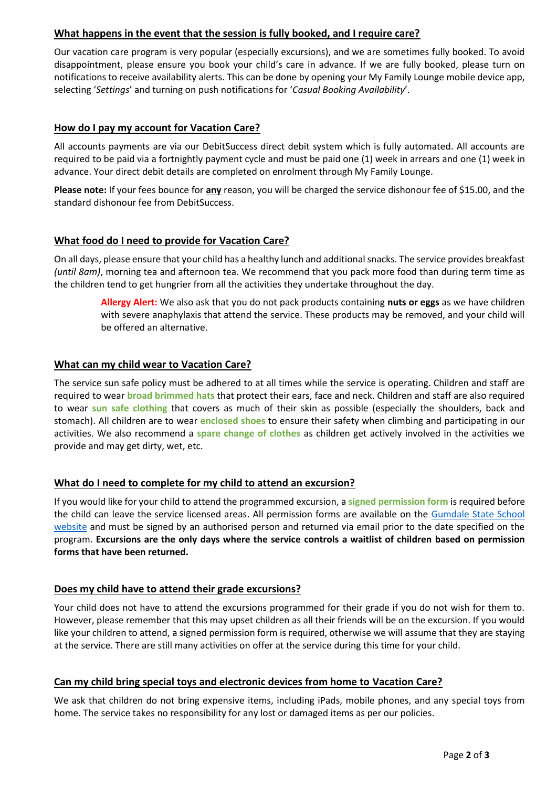## **What happens in the event that the session is fully booked, and I require care?**

Our vacation care program is very popular (especially excursions), and we are sometimes fully booked. To avoid disappointment, please ensure you book your child's care in advance. If we are fully booked, please turn on notifications to receive availability alerts. This can be done by opening your My Family Lounge mobile device app, selecting '*Settings*' and turning on push notifications for '*Casual Booking Availability*'.

# **How do I pay my account for Vacation Care?**

All accounts payments are via our DebitSuccess direct debit system which is fully automated. All accounts are required to be paid via a fortnightly payment cycle and must be paid one (1) week in arrears and one (1) week in advance. Your direct debit details are completed on enrolment through My Family Lounge.

**Please note:** If your fees bounce for **any** reason, you will be charged the service dishonour fee of \$15.00, and the standard dishonour fee from DebitSuccess.

# **What food do I need to provide for Vacation Care?**

On all days, please ensure that your child has a healthy lunch and additional snacks. The service provides breakfast *(until 8am)*, morning tea and afternoon tea. We recommend that you pack more food than during term time as the children tend to get hungrier from all the activities they undertake throughout the day.

**Allergy Alert:** We also ask that you do not pack products containing **nuts or eggs** as we have children with severe anaphylaxis that attend the service. These products may be removed, and your child will be offered an alternative.

# **What can my child wear to Vacation Care?**

The service sun safe policy must be adhered to at all times while the service is operating. Children and staff are required to wear **broad brimmed hats** that protect their ears, face and neck. Children and staff are also required to wear **sun safe clothing** that covers as much of their skin as possible (especially the shoulders, back and stomach). All children are to wear **enclosed shoes** to ensure their safety when climbing and participating in our activities. We also recommend a **spare change of clothes** as children get actively involved in the activities we provide and may get dirty, wet, etc.

## **What do I need to complete for my child to attend an excursion?**

If you would like for your child to attend the programmed excursion, a **signed permission form** is required before the child can leave the service licensed areas. All permission forms are available on the Gumdale State School [website](https://gumdaless.eq.edu.au/facilities/out-of-school-hours-care) and must be signed by an authorised person and returned via email prior to the date specified on the program. **Excursions are the only days where the service controls a waitlist of children based on permission forms that have been returned.** 

## **Does my child have to attend their grade excursions?**

Your child does not have to attend the excursions programmed for their grade if you do not wish for them to. However, please remember that this may upset children as all their friends will be on the excursion. If you would like your children to attend, a signed permission form is required, otherwise we will assume that they are staying at the service. There are still many activities on offer at the service during this time for your child.

## **Can my child bring special toys and electronic devices from home to Vacation Care?**

We ask that children do not bring expensive items, including iPads, mobile phones, and any special toys from home. The service takes no responsibility for any lost or damaged items as per our policies.